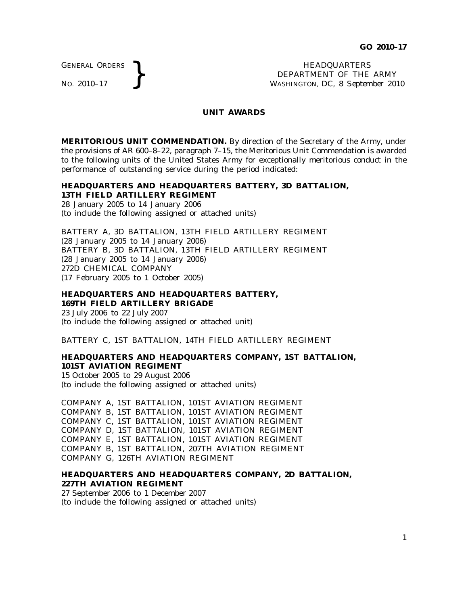GENERAL ORDERS

GENERAL ORDERS **REAL ORDERS** HEADQUARTERS **HEADQUARTERS HEADQUARTERS HEADQUARTERS DEPARTMENT** OF THE **WASHINGTON, DC, 8 Septem** DEPARTMENT OF THE ARMY WASHINGTON, DC, *8 September 2010*

#### **UNIT AWARDS**

**MERITORIOUS UNIT COMMENDATION.** By direction of the Secretary of the Army, under the provisions of AR 600–8–22, paragraph 7–15, the Meritorious Unit Commendation is awarded to the following units of the United States Army for exceptionally meritorious conduct in the performance of outstanding service during the period indicated:

#### **HEADQUARTERS AND HEADQUARTERS BATTERY, 3D BATTALION, 13TH FIELD ARTILLERY REGIMENT**

28 January 2005 to 14 January 2006 (to include the following assigned or attached units)

BATTERY A, 3D BATTALION, 13TH FIELD ARTILLERY REGIMENT (28 January 2005 to 14 January 2006) BATTERY B, 3D BATTALION, 13TH FIELD ARTILLERY REGIMENT (28 January 2005 to 14 January 2006) 272D CHEMICAL COMPANY (17 February 2005 to 1 October 2005)

#### **HEADQUARTERS AND HEADQUARTERS BATTERY, 169TH FIELD ARTILLERY BRIGADE** 23 July 2006 to 22 July 2007

(to include the following assigned or attached unit)

BATTERY C, 1ST BATTALION, 14TH FIELD ARTILLERY REGIMENT

### **HEADQUARTERS AND HEADQUARTERS COMPANY, 1ST BATTALION, 101ST AVIATION REGIMENT**

15 October 2005 to 29 August 2006 (to include the following assigned or attached units)

COMPANY A, 1ST BATTALION, 101ST AVIATION REGIMENT COMPANY B, 1ST BATTALION, 101ST AVIATION REGIMENT COMPANY C, 1ST BATTALION, 101ST AVIATION REGIMENT COMPANY D, 1ST BATTALION, 101ST AVIATION REGIMENT COMPANY E, 1ST BATTALION, 101ST AVIATION REGIMENT COMPANY B, 1ST BATTALION, 207TH AVIATION REGIMENT COMPANY G, 126TH AVIATION REGIMENT

### **HEADQUARTERS AND HEADQUARTERS COMPANY, 2D BATTALION, 227TH AVIATION REGIMENT**

27 September 2006 to 1 December 2007 (to include the following assigned or attached units)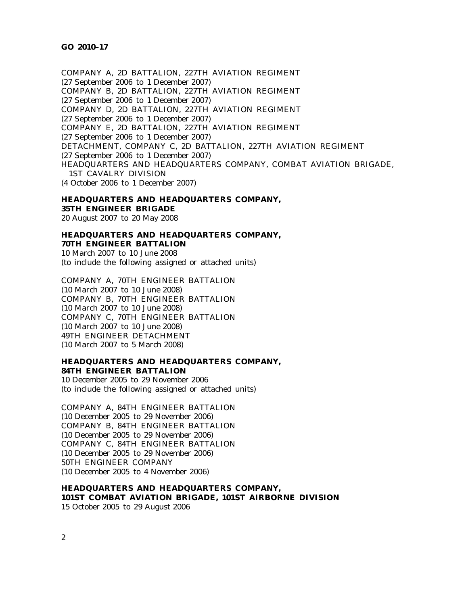COMPANY A, 2D BATTALION, 227TH AVIATION REGIMENT (27 September 2006 to 1 December 2007) COMPANY B, 2D BATTALION, 227TH AVIATION REGIMENT (27 September 2006 to 1 December 2007) COMPANY D, 2D BATTALION, 227TH AVIATION REGIMENT (27 September 2006 to 1 December 2007) COMPANY E, 2D BATTALION, 227TH AVIATION REGIMENT (27 September 2006 to 1 December 2007) DETACHMENT, COMPANY C, 2D BATTALION, 227TH AVIATION REGIMENT (27 September 2006 to 1 December 2007) HEADQUARTERS AND HEADQUARTERS COMPANY, COMBAT AVIATION BRIGADE, 1ST CAVALRY DIVISION (4 October 2006 to 1 December 2007)

# **HEADQUARTERS AND HEADQUARTERS COMPANY, 35TH ENGINEER BRIGADE**

20 August 2007 to 20 May 2008

# **HEADQUARTERS AND HEADQUARTERS COMPANY,**

**70TH ENGINEER BATTALION** 10 March 2007 to 10 June 2008 (to include the following assigned or attached units)

COMPANY A, 70TH ENGINEER BATTALION (10 March 2007 to 10 June 2008) COMPANY B, 70TH ENGINEER BATTALION (10 March 2007 to 10 June 2008) COMPANY C, 70TH ENGINEER BATTALION (10 March 2007 to 10 June 2008) 49TH ENGINEER DETACHMENT (10 March 2007 to 5 March 2008)

## **HEADQUARTERS AND HEADQUARTERS COMPANY, 84TH ENGINEER BATTALION**

10 December 2005 to 29 November 2006 (to include the following assigned or attached units)

COMPANY A, 84TH ENGINEER BATTALION (10 December 2005 to 29 November 2006) COMPANY B, 84TH ENGINEER BATTALION (10 December 2005 to 29 November 2006) COMPANY C, 84TH ENGINEER BATTALION (10 December 2005 to 29 November 2006) 50TH ENGINEER COMPANY (10 December 2005 to 4 November 2006)

**HEADQUARTERS AND HEADQUARTERS COMPANY, 101ST COMBAT AVIATION BRIGADE, 101ST AIRBORNE DIVISION** 15 October 2005 to 29 August 2006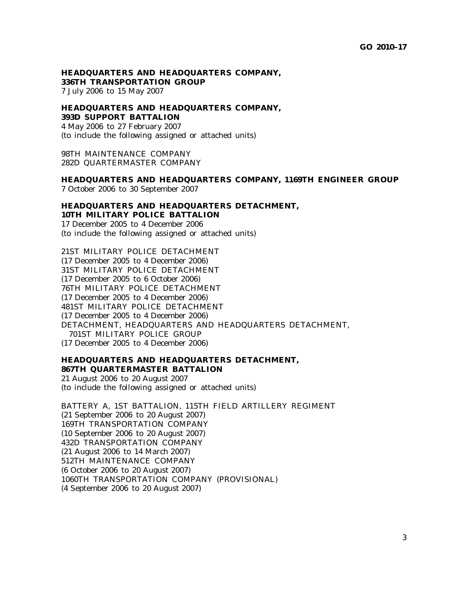**HEADQUARTERS AND HEADQUARTERS COMPANY, 336TH TRANSPORTATION GROUP** 7 July 2006 to 15 May 2007

## **HEADQUARTERS AND HEADQUARTERS COMPANY, 393D SUPPORT BATTALION**

4 May 2006 to 27 February 2007 (to include the following assigned or attached units)

98TH MAINTENANCE COMPANY 282D QUARTERMASTER COMPANY

#### **HEADQUARTERS AND HEADQUARTERS COMPANY, 1169TH ENGINEER GROUP** 7 October 2006 to 30 September 2007

### **HEADQUARTERS AND HEADQUARTERS DETACHMENT, 10TH MILITARY POLICE BATTALION** 17 December 2005 to 4 December 2006

(to include the following assigned or attached units)

21ST MILITARY POLICE DETACHMENT (17 December 2005 to 4 December 2006) 31ST MILITARY POLICE DETACHMENT (17 December 2005 to 6 October 2006) 76TH MILITARY POLICE DETACHMENT (17 December 2005 to 4 December 2006) 481ST MILITARY POLICE DETACHMENT (17 December 2005 to 4 December 2006) DETACHMENT, HEADQUARTERS AND HEADQUARTERS DETACHMENT, 701ST MILITARY POLICE GROUP (17 December 2005 to 4 December 2006)

## **HEADQUARTERS AND HEADQUARTERS DETACHMENT, 867TH QUARTERMASTER BATTALION**

21 August 2006 to 20 August 2007 (to include the following assigned or attached units)

BATTERY A, 1ST BATTALION, 115TH FIELD ARTILLERY REGIMENT (21 September 2006 to 20 August 2007) 169TH TRANSPORTATION COMPANY (10 September 2006 to 20 August 2007) 432D TRANSPORTATION COMPANY (21 August 2006 to 14 March 2007) 512TH MAINTENANCE COMPANY (6 October 2006 to 20 August 2007) 1060TH TRANSPORTATION COMPANY (PROVISIONAL) (4 September 2006 to 20 August 2007)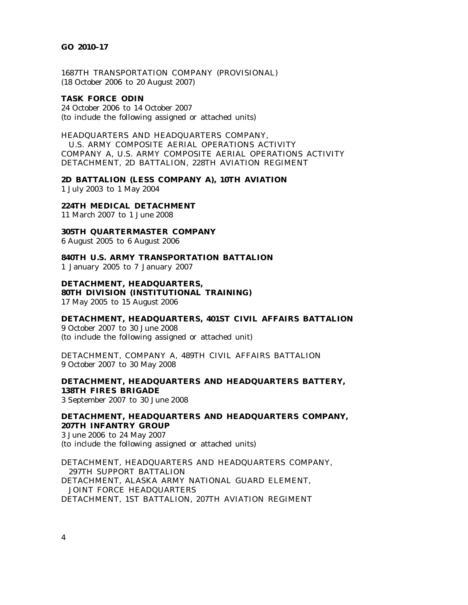#### **GO 2010–17**

1687TH TRANSPORTATION COMPANY (PROVISIONAL) (18 October 2006 to 20 August 2007)

#### **TASK FORCE ODIN**

24 October 2006 to 14 October 2007 (to include the following assigned or attached units)

HEADQUARTERS AND HEADQUARTERS COMPANY, U.S. ARMY COMPOSITE AERIAL OPERATIONS ACTIVITY COMPANY A, U.S. ARMY COMPOSITE AERIAL OPERATIONS ACTIVITY DETACHMENT, 2D BATTALION, 228TH AVIATION REGIMENT

**2D BATTALION (LESS COMPANY A), 10TH AVIATION** 1 July 2003 to 1 May 2004

### **224TH MEDICAL DETACHMENT**

11 March 2007 to 1 June 2008

**305TH QUARTERMASTER COMPANY**

6 August 2005 to 6 August 2006

**840TH U.S. ARMY TRANSPORTATION BATTALION**

1 January 2005 to 7 January 2007

**DETACHMENT, HEADQUARTERS, 80TH DIVISION (INSTITUTIONAL TRAINING)** 17 May 2005 to 15 August 2006

**DETACHMENT, HEADQUARTERS, 401ST CIVIL AFFAIRS BATTALION**

9 October 2007 to 30 June 2008 (to include the following assigned or attached unit)

DETACHMENT, COMPANY A, 489TH CIVIL AFFAIRS BATTALION 9 October 2007 to 30 May 2008

**DETACHMENT, HEADQUARTERS AND HEADQUARTERS BATTERY, 138TH FIRES BRIGADE** 3 September 2007 to 30 June 2008

**DETACHMENT, HEADQUARTERS AND HEADQUARTERS COMPANY, 207TH INFANTRY GROUP** 3 June 2006 to 24 May 2007

(to include the following assigned or attached units)

DETACHMENT, HEADQUARTERS AND HEADQUARTERS COMPANY, 297TH SUPPORT BATTALION DETACHMENT, ALASKA ARMY NATIONAL GUARD ELEMENT, JOINT FORCE HEADQUARTERS DETACHMENT, 1ST BATTALION, 207TH AVIATION REGIMENT